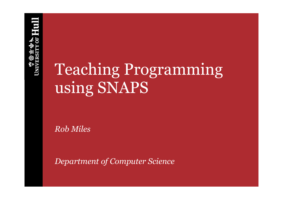# Teaching Programming using SNAPS

*Rob Miles*

*Department of Computer Science*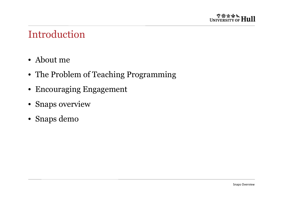

#### Introduction

- About me
- The Problem of Teaching Programming
- Encouraging Engagement
- Snaps overview
- Snaps demo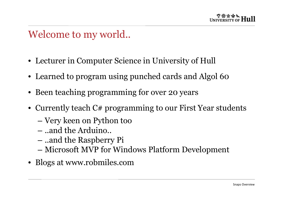## Welcome to my world..

- Lecturer in Computer Science in University of Hull
- Learned to program using punched cards and Algol 60
- Been teaching programming for over 20 years
- Currently teach C# programming to our First Year students
	- **Links of the Common** Very keen on Python too
	- –..and the Arduino..
	- –..and the Raspberry Pi
	- and the state of the Microsoft MVP for Windows Platform Development
- Blogs at www.robmiles.com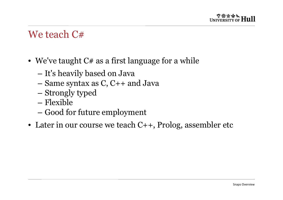#### We teach  $C#$

- $\bullet\,$  We've taught C# as a first language for a while
	- and the state of the – It's heavily based on Java
	- and the state of the – Same syntax as C, C++ and Java
	- **Links of the Common** – Strongly typed
	- **Links of the Common** – Flexible<br>–
	- – $-$  Good for future employment
- Later in our course we teach C++, Prolog, assembler etc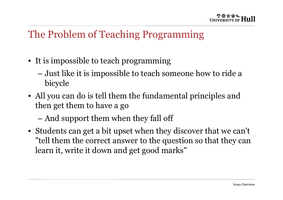## The Problem of Teaching Programming

- It is impossible to teach programming
	- and the state of the Just like it is impossible to teach someone how to ride a bicycle
- All you can do is tell them the fundamental principles and then get them to have a go
	- –And support them when they fall off
- Students can get a bit upset when they discover that we can't "tell them the correct answer to the question so that they can learn it, write it down and get good marks"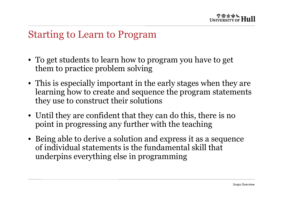#### Starting to Learn to Program

- To get students to learn how to program you have to get them to practice problem solving
- This is especially important in the early stages when they are learning how to create and sequence the program statements they use to construct their solutions
- Until they are confident that they can do this, there is no point in progressing any further with the teaching
- Being able to derive a solution and express it as a sequenceof individual statements is the fundamental skill that underpins everything else in programming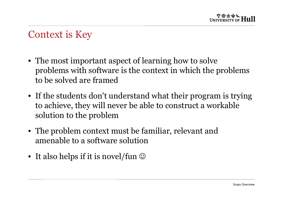## Context is Key

- The most important aspect of learning how to solve problems with software is the context in which the problems to be solved are framed
- If the students don't understand what their program is trying to achieve, they will never be able to construct a workable solution to the problem
- The problem context must be familiar, relevant and amenable to a software solution
- It also helps if it is novel/fun  $\odot$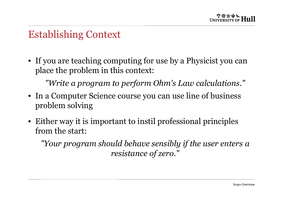## Establishing Context

• If you are teaching computing for use by a Physicist you can place the problem in this context:

*"Write a program to perform Ohm's Law calculations."*

- In a Computer Science course you can use line of business problem solving
- Either way it is important to instil professional principles from the start:

*"Your program should behave sensibly if the user enters a resistance of zero."*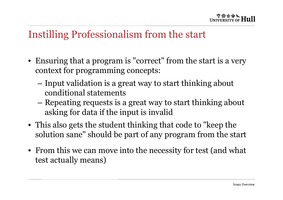### Instilling Professionalism from the start

- Ensuring that a program is "correct" from the start is a very context for programming concepts:
	- and the state of the  $-$  Input validation is a great way to start thinking about conditional statements
	- **Links of the Common**  Repeating requests is a great way to start thinking about asking for data if the input is invalid
- This also gets the student thinking that code to "keep the solution sane" should be part of any program from the start
- From this we can move into the necessity for test (and what test actually means)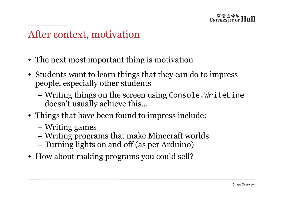## After context, motivation

- The next most important thing is motivation
- Students want to learn things that they can do to impress people, especially other students
	- **Links of the Common** — Writing things on the screen using Console.WriteLine doesn't usually achieve this…
- Things that have been found to impress include:
	- –Writing games
	- **Links of the Common** – Writing programs that make Minecraft worlds
	- **Links of the Common** Turning lights on and off (as per Arduino)
- How about making programs you could sell?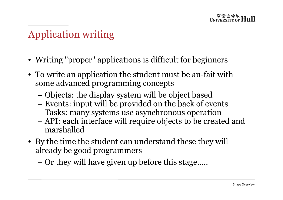# Application writing

- Writing "proper" applications is difficult for beginners
- To write an application the student must be au-fait with some advanced programming concepts
	- and the state of the Objects: the display system will be object based
	- $\blacksquare$  hypnic, innut will be provided on the hack of e Events: input will be provided on the back of events
	- –Tasks: many systems use asynchronous operation
	- –– API: each interface will require objects to be created and marshalled
- By the time the student can understand these they will already be good programmers

and the state of the  $-$  Or they will have given up before this stage…..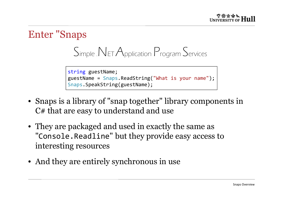Enter "Snaps

Simple .NET Application Program Services

string guestName; guestName = Snaps.ReadString("What is your name"); Snaps.SpeakString(guestName);

- Snaps is a library of "snap together" library components in C# that are easy to understand and use
- They are packaged and used in exactly the same as "Console.Readline" but they provide easy access to interesting resources
- And they are entirely synchronous in use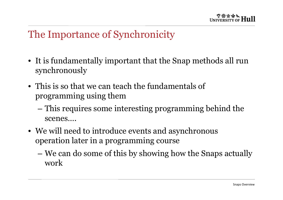## The Importance of Synchronicity

- It is fundamentally important that the Snap methods all run synchronously
- This is so that we can teach the fundamentals of programming using them
	- **Links of the Common**  $-$  This requires some interesting programming behind the  $\,$ scenes….
- We will need to introduce events and asynchronous operation later in a programming course
	- **Links of the Common**  We can do some of this by showing how the Snaps actually work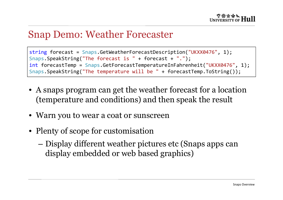#### Snap Demo: Weather Forecaster

```
string forecast = Snaps.GetWeatherForecastDescription("UKXX0476", 1);
Snaps.SpeakString("The forecast is " + forecast + ".");
int forecastTemp = Snaps.GetForecastTemperatureInFahrenheit("UKXX0476", 1);
Snaps.SpeakString("The temperature will be " + forecastTemp.ToString());
```
- A snaps program can get the weather forecast for a location (temperature and conditions) and then speak the result
- Warn you to wear a coat or sunscreen
- Plenty of scope for customisation
	- –– Display different weather pictures etc (Snaps apps can<br>display embedded or web based graphics) display embedded or web based graphics)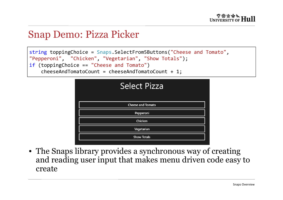#### Snap Demo: Pizza Picker

```
string toppingChoice = Snaps.SelectFrom5Buttons("Cheese and Tomato", 
"Pepperoni", "Chicken", "Vegetarian", "Show Totals");

if (toppingChoice == "Cheese and Tomato")
    cheeseAndTomatoCount = cheeseAndTomatoCount + 1;
```


• The Snaps library provides a synchronous way of creating and reading user input that makes menu driven code easy to create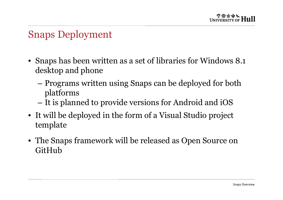## Snaps Deployment

- Snaps has been written as a set of libraries for Windows 8.1 desktop and phone
	- and the state of the – Programs written using Snaps can be deployed for both platforms
	- **Links of the Common**  $-$  It is planned to provide versions for Android and iOS
- It will be deployed in the form of a Visual Studio project template
- The Snaps framework will be released as Open Source on GitHub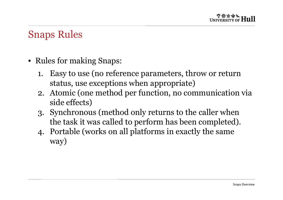# Snaps Rules

- Rules for making Snaps:
	- 1. Easy to use (no reference parameters, throw or return status, use exceptions when appropriate)
	- 2. Atomic (one method per function, no communication via<br>side effects) side effects)
	- 3. Synchronous (method only returns to the caller when the task it was called to perform has been completed).
	- 4. Portable (works on all platforms in exactly the same way)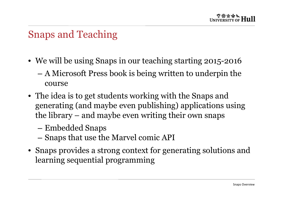### Snaps and Teaching

- We will be using Snaps in our teaching starting 2015-2016
	- and the state of the A Microsoft Press book is being written to underpin the course
- The idea is to get students working with the Snaps and generating (and maybe even publishing) applications usingthe library – and maybe even writing their own snaps
	- and the state of the Embedded Snaps
	- and the state of the  $-$  Snaps that use the Marvel comic API
- Snaps provides a strong context for generating solutions and learning sequential programming